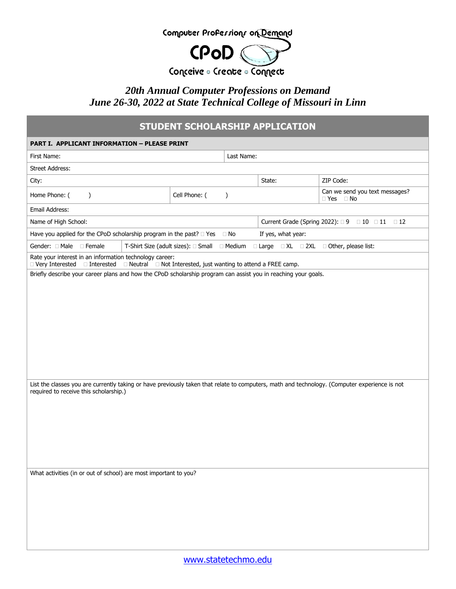

## *20th Annual Computer Professions on Demand June 26-30, 2022 at State Technical College of Missouri in Linn*

## **STUDENT SCHOLARSHIP APPLICATION**

| <b>PART I. APPLICANT INFORMATION - PLEASE PRINT</b>                                                                                                                                     |                                              |                                                 |            |  |                                                           |  |  |
|-----------------------------------------------------------------------------------------------------------------------------------------------------------------------------------------|----------------------------------------------|-------------------------------------------------|------------|--|-----------------------------------------------------------|--|--|
| First Name:                                                                                                                                                                             |                                              |                                                 | Last Name: |  |                                                           |  |  |
| <b>Street Address:</b>                                                                                                                                                                  |                                              |                                                 |            |  |                                                           |  |  |
| City:                                                                                                                                                                                   |                                              |                                                 | State:     |  | ZIP Code:                                                 |  |  |
| Home Phone: (<br>$\lambda$                                                                                                                                                              | Cell Phone: (                                | $\mathcal{E}$                                   |            |  | Can we send you text messages?<br>$\Box$ Yes<br>$\Box$ No |  |  |
| Email Address:                                                                                                                                                                          |                                              |                                                 |            |  |                                                           |  |  |
| Name of High School:                                                                                                                                                                    |                                              | Current Grade (Spring 2022): □ 9 □ 10 □ 11 □ 12 |            |  |                                                           |  |  |
| Have you applied for the CPoD scholarship program in the past?  I Yes<br>If yes, what year:<br>⊟ No                                                                                     |                                              |                                                 |            |  |                                                           |  |  |
| Gender: Male Female                                                                                                                                                                     | T-Shirt Size (adult sizes): □ Small □ Medium |                                                 |            |  | □ Large □ XL □ 2XL □ Other, please list:                  |  |  |
| Rate your interest in an information technology career:<br>$\Box$ Very Interested $\Box$ Interested $\Box$ Neutral $\Box$ Not Interested, just wanting to attend a FREE camp.           |                                              |                                                 |            |  |                                                           |  |  |
| Briefly describe your career plans and how the CPoD scholarship program can assist you in reaching your goals.                                                                          |                                              |                                                 |            |  |                                                           |  |  |
|                                                                                                                                                                                         |                                              |                                                 |            |  |                                                           |  |  |
|                                                                                                                                                                                         |                                              |                                                 |            |  |                                                           |  |  |
|                                                                                                                                                                                         |                                              |                                                 |            |  |                                                           |  |  |
|                                                                                                                                                                                         |                                              |                                                 |            |  |                                                           |  |  |
|                                                                                                                                                                                         |                                              |                                                 |            |  |                                                           |  |  |
|                                                                                                                                                                                         |                                              |                                                 |            |  |                                                           |  |  |
|                                                                                                                                                                                         |                                              |                                                 |            |  |                                                           |  |  |
|                                                                                                                                                                                         |                                              |                                                 |            |  |                                                           |  |  |
| List the classes you are currently taking or have previously taken that relate to computers, math and technology. (Computer experience is not<br>required to receive this scholarship.) |                                              |                                                 |            |  |                                                           |  |  |
|                                                                                                                                                                                         |                                              |                                                 |            |  |                                                           |  |  |
|                                                                                                                                                                                         |                                              |                                                 |            |  |                                                           |  |  |
|                                                                                                                                                                                         |                                              |                                                 |            |  |                                                           |  |  |
|                                                                                                                                                                                         |                                              |                                                 |            |  |                                                           |  |  |
|                                                                                                                                                                                         |                                              |                                                 |            |  |                                                           |  |  |
|                                                                                                                                                                                         |                                              |                                                 |            |  |                                                           |  |  |
| What activities (in or out of school) are most important to you?                                                                                                                        |                                              |                                                 |            |  |                                                           |  |  |
|                                                                                                                                                                                         |                                              |                                                 |            |  |                                                           |  |  |
|                                                                                                                                                                                         |                                              |                                                 |            |  |                                                           |  |  |
|                                                                                                                                                                                         |                                              |                                                 |            |  |                                                           |  |  |
|                                                                                                                                                                                         |                                              |                                                 |            |  |                                                           |  |  |
|                                                                                                                                                                                         |                                              |                                                 |            |  |                                                           |  |  |
|                                                                                                                                                                                         |                                              |                                                 |            |  |                                                           |  |  |